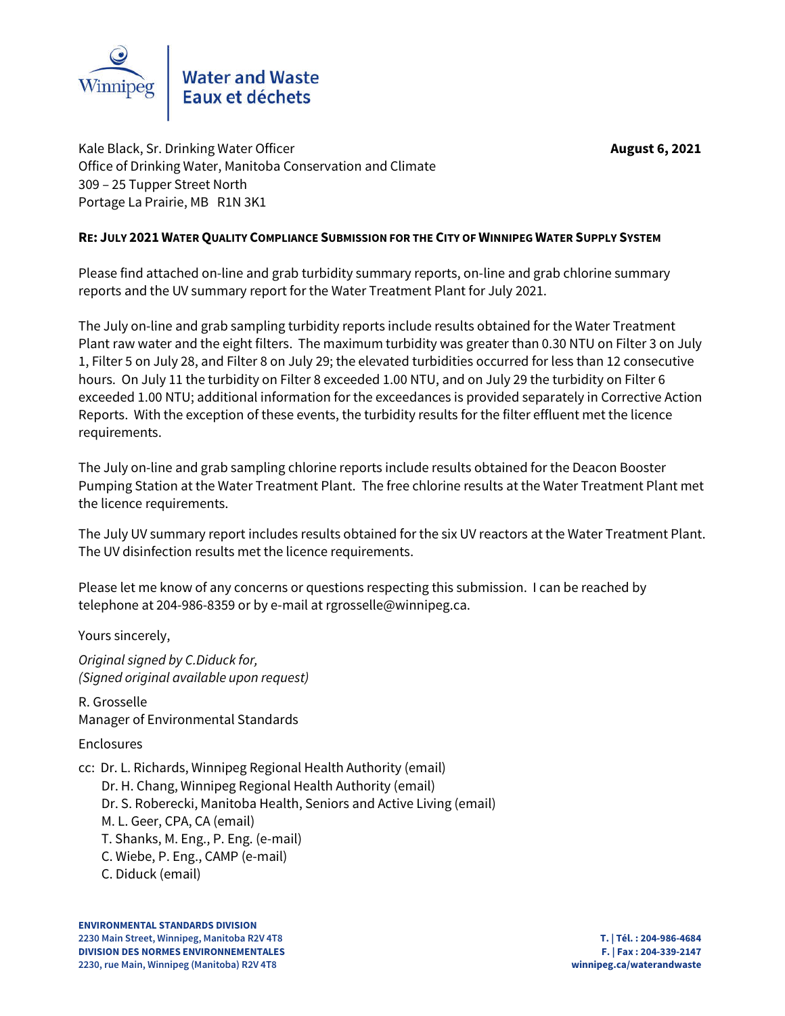

Kale Black, Sr. Drinking Water Officer **August 6, 2021 August 6, 2021** Office of Drinking Water, Manitoba Conservation and Climate 309 – 25 Tupper Street North Portage La Prairie, MB R1N 3K1

## **RE: JULY 2021 WATER QUALITY COMPLIANCE SUBMISSION FOR THE CITY OF WINNIPEG WATER SUPPLY SYSTEM**

Please find attached on-line and grab turbidity summary reports, on-line and grab chlorine summary reports and the UV summary report for the Water Treatment Plant for July 2021.

The July on-line and grab sampling turbidity reports include results obtained for the Water Treatment Plant raw water and the eight filters. The maximum turbidity was greater than 0.30 NTU on Filter 3 on July 1, Filter 5 on July 28, and Filter 8 on July 29; the elevated turbidities occurred for less than 12 consecutive hours. On July 11 the turbidity on Filter 8 exceeded 1.00 NTU, and on July 29 the turbidity on Filter 6 exceeded 1.00 NTU; additional information for the exceedances is provided separately in Corrective Action Reports. With the exception of these events, the turbidity results for the filter effluent met the licence requirements.

The July on-line and grab sampling chlorine reports include results obtained for the Deacon Booster Pumping Station at the Water Treatment Plant. The free chlorine results at the Water Treatment Plant met the licence requirements.

The July UV summary report includes results obtained for the six UV reactors at the Water Treatment Plant. The UV disinfection results met the licence requirements.

Please let me know of any concerns or questions respecting this submission. I can be reached by telephone at 204-986-8359 or by e-mail at rgrosselle@winnipeg.ca.

Yours sincerely,

*Original signed by C.Diduck for, (Signed original available upon request)*

R. Grosselle Manager of Environmental Standards

Enclosures

cc: Dr. L. Richards, Winnipeg Regional Health Authority (email) Dr. H. Chang, Winnipeg Regional Health Authority (email) Dr. S. Roberecki, Manitoba Health, Seniors and Active Living (email) M. L. Geer, CPA, CA (email) T. Shanks, M. Eng., P. Eng. (e-mail) C. Wiebe, P. Eng., CAMP (e-mail) C. Diduck (email)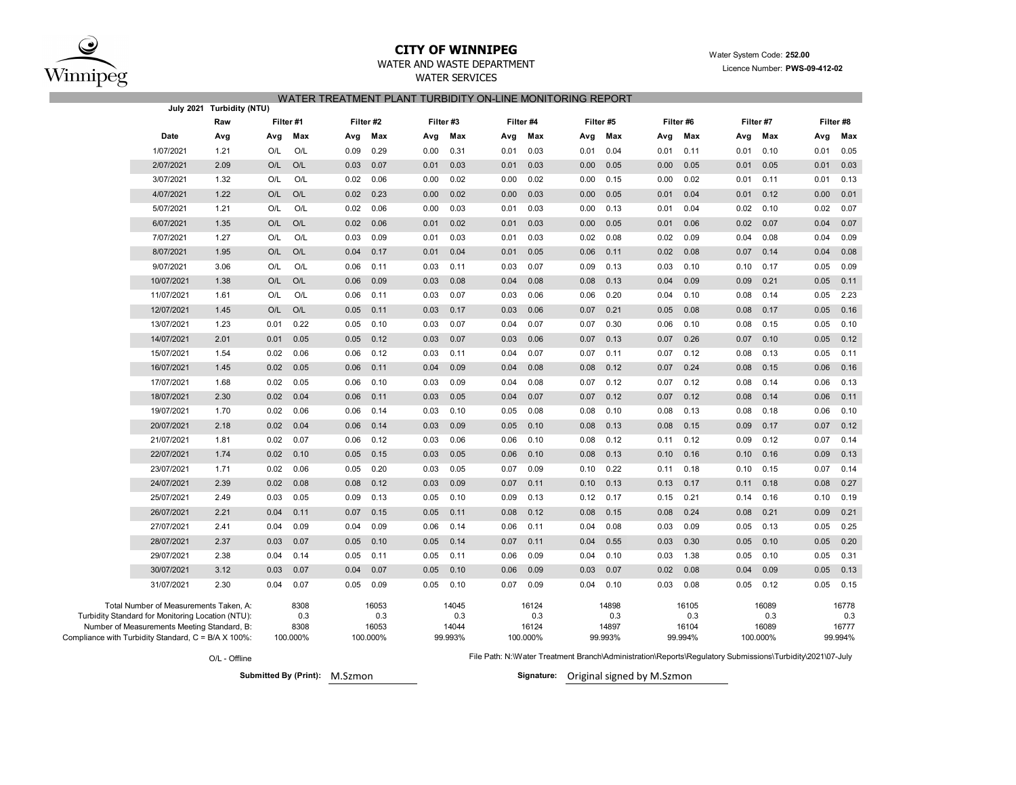

Compliance with

# **CITY OF WINNIPEG** WATER WATER WATER System Code: 252.00

## WATER AND WASTE DEPARTMENT **EXAMPLE 2021** Licence Number: **PWS-09-412-02**

WATER SERVICES

### WATER TREATMENT PLANT TURBIDITY ON-LINE MONITORING REPORT

|                                                                                                                                                                                                 | July 2021 Turbidity (NTU) |      |                                 |      |                                   |      |                                  |      |                                   |      |                                  |      |                                  |      |                                   |      |                                  |
|-------------------------------------------------------------------------------------------------------------------------------------------------------------------------------------------------|---------------------------|------|---------------------------------|------|-----------------------------------|------|----------------------------------|------|-----------------------------------|------|----------------------------------|------|----------------------------------|------|-----------------------------------|------|----------------------------------|
|                                                                                                                                                                                                 | Raw                       |      | Filter #1                       |      | Filter #2                         |      | Filter #3                        |      | Filter #4                         |      | Filter #5                        |      | Filter #6                        |      | Filter #7                         |      | Filter #8                        |
| Date                                                                                                                                                                                            | Avg                       | Avg  | Max                             | Avg  | Max                               | Avg  | Max                              | Avg  | Max                               | Avg  | Max                              | Avg  | Max                              | Avg  | Max                               | Avg  | Max                              |
| 1/07/2021                                                                                                                                                                                       | 1.21                      | O/L  | O/L                             | 0.09 | 0.29                              | 0.00 | 0.31                             | 0.01 | 0.03                              | 0.01 | 0.04                             | 0.01 | 0.11                             | 0.01 | 0.10                              | 0.01 | 0.05                             |
| 2/07/2021                                                                                                                                                                                       | 2.09                      | O/L  | O/L                             | 0.03 | 0.07                              | 0.01 | 0.03                             | 0.01 | 0.03                              | 0.00 | 0.05                             | 0.00 | 0.05                             | 0.01 | 0.05                              | 0.01 | 0.03                             |
| 3/07/2021                                                                                                                                                                                       | 1.32                      | O/L  | O/L                             | 0.02 | 0.06                              | 0.00 | 0.02                             | 0.00 | 0.02                              | 0.00 | 0.15                             | 0.00 | 0.02                             | 0.01 | 0.11                              | 0.01 | 0.13                             |
| 4/07/2021                                                                                                                                                                                       | 1.22                      | O/L  | O/L                             | 0.02 | 0.23                              | 0.00 | 0.02                             | 0.00 | 0.03                              | 0.00 | 0.05                             | 0.01 | 0.04                             | 0.01 | 0.12                              | 0.00 | 0.01                             |
| 5/07/2021                                                                                                                                                                                       | 1.21                      | O/L  | O/L                             | 0.02 | 0.06                              | 0.00 | 0.03                             | 0.01 | 0.03                              | 0.00 | 0.13                             | 0.01 | 0.04                             | 0.02 | 0.10                              | 0.02 | 0.07                             |
| 6/07/2021                                                                                                                                                                                       | 1.35                      | O/L  | O/L                             | 0.02 | 0.06                              | 0.01 | 0.02                             | 0.01 | 0.03                              | 0.00 | 0.05                             | 0.01 | 0.06                             | 0.02 | 0.07                              | 0.04 | 0.07                             |
| 7/07/2021                                                                                                                                                                                       | 1.27                      | O/L  | O/L                             | 0.03 | 0.09                              | 0.01 | 0.03                             | 0.01 | 0.03                              | 0.02 | 0.08                             | 0.02 | 0.09                             | 0.04 | 0.08                              | 0.04 | 0.09                             |
| 8/07/2021                                                                                                                                                                                       | 1.95                      | O/L  | O/L                             | 0.04 | 0.17                              | 0.01 | 0.04                             | 0.01 | 0.05                              | 0.06 | 0.11                             | 0.02 | 0.08                             | 0.07 | 0.14                              | 0.04 | 0.08                             |
| 9/07/2021                                                                                                                                                                                       | 3.06                      | O/L  | O/L                             | 0.06 | 0.11                              | 0.03 | 0.11                             | 0.03 | 0.07                              | 0.09 | 0.13                             | 0.03 | 0.10                             | 0.10 | 0.17                              | 0.05 | 0.09                             |
| 10/07/2021                                                                                                                                                                                      | 1.38                      | O/L  | O/L                             | 0.06 | 0.09                              | 0.03 | 0.08                             | 0.04 | 0.08                              | 0.08 | 0.13                             | 0.04 | 0.09                             | 0.09 | 0.21                              | 0.05 | 0.11                             |
| 11/07/2021                                                                                                                                                                                      | 1.61                      | O/L  | O/L                             | 0.06 | 0.11                              | 0.03 | 0.07                             | 0.03 | 0.06                              | 0.06 | 0.20                             | 0.04 | 0.10                             | 0.08 | 0.14                              | 0.05 | 2.23                             |
| 12/07/2021                                                                                                                                                                                      | 1.45                      | O/L  | O/L                             | 0.05 | 0.11                              | 0.03 | 0.17                             | 0.03 | 0.06                              | 0.07 | 0.21                             | 0.05 | 0.08                             | 0.08 | 0.17                              | 0.05 | 0.16                             |
| 13/07/2021                                                                                                                                                                                      | 1.23                      | 0.01 | 0.22                            | 0.05 | 0.10                              | 0.03 | 0.07                             | 0.04 | 0.07                              | 0.07 | 0.30                             | 0.06 | 0.10                             | 0.08 | 0.15                              | 0.05 | 0.10                             |
| 14/07/2021                                                                                                                                                                                      | 2.01                      | 0.01 | 0.05                            | 0.05 | 0.12                              | 0.03 | 0.07                             | 0.03 | 0.06                              | 0.07 | 0.13                             | 0.07 | 0.26                             | 0.07 | 0.10                              | 0.05 | 0.12                             |
| 15/07/2021                                                                                                                                                                                      | 1.54                      | 0.02 | 0.06                            | 0.06 | 0.12                              | 0.03 | 0.11                             | 0.04 | 0.07                              | 0.07 | 0.11                             | 0.07 | 0.12                             | 0.08 | 0.13                              | 0.05 | 0.11                             |
| 16/07/2021                                                                                                                                                                                      | 1.45                      | 0.02 | 0.05                            | 0.06 | 0.11                              | 0.04 | 0.09                             | 0.04 | 0.08                              | 0.08 | 0.12                             | 0.07 | 0.24                             | 0.08 | 0.15                              | 0.06 | 0.16                             |
| 17/07/2021                                                                                                                                                                                      | 1.68                      | 0.02 | 0.05                            | 0.06 | 0.10                              | 0.03 | 0.09                             | 0.04 | 0.08                              | 0.07 | 0.12                             | 0.07 | 0.12                             | 0.08 | 0.14                              | 0.06 | 0.13                             |
| 18/07/2021                                                                                                                                                                                      | 2.30                      | 0.02 | 0.04                            | 0.06 | 0.11                              | 0.03 | 0.05                             | 0.04 | 0.07                              | 0.07 | 0.12                             | 0.07 | 0.12                             | 0.08 | 0.14                              | 0.06 | 0.11                             |
| 19/07/2021                                                                                                                                                                                      | 1.70                      | 0.02 | 0.06                            | 0.06 | 0.14                              | 0.03 | 0.10                             | 0.05 | 0.08                              | 0.08 | 0.10                             | 0.08 | 0.13                             | 0.08 | 0.18                              | 0.06 | 0.10                             |
| 20/07/2021                                                                                                                                                                                      | 2.18                      | 0.02 | 0.04                            | 0.06 | 0.14                              | 0.03 | 0.09                             | 0.05 | 0.10                              | 0.08 | 0.13                             | 0.08 | 0.15                             | 0.09 | 0.17                              | 0.07 | 0.12                             |
| 21/07/2021                                                                                                                                                                                      | 1.81                      | 0.02 | 0.07                            | 0.06 | 0.12                              | 0.03 | 0.06                             | 0.06 | 0.10                              | 0.08 | 0.12                             | 0.11 | 0.12                             | 0.09 | 0.12                              | 0.07 | 0.14                             |
| 22/07/2021                                                                                                                                                                                      | 1.74                      | 0.02 | 0.10                            | 0.05 | 0.15                              | 0.03 | 0.05                             | 0.06 | 0.10                              | 0.08 | 0.13                             | 0.10 | 0.16                             | 0.10 | 0.16                              | 0.09 | 0.13                             |
| 23/07/2021                                                                                                                                                                                      | 1.71                      | 0.02 | 0.06                            | 0.05 | 0.20                              | 0.03 | 0.05                             | 0.07 | 0.09                              | 0.10 | 0.22                             | 0.11 | 0.18                             | 0.10 | 0.15                              | 0.07 | 0.14                             |
| 24/07/2021                                                                                                                                                                                      | 2.39                      | 0.02 | 0.08                            | 0.08 | 0.12                              | 0.03 | 0.09                             | 0.07 | 0.11                              | 0.10 | 0.13                             | 0.13 | 0.17                             | 0.11 | 0.18                              | 0.08 | 0.27                             |
| 25/07/2021                                                                                                                                                                                      | 2.49                      | 0.03 | 0.05                            | 0.09 | 0.13                              | 0.05 | 0.10                             | 0.09 | 0.13                              | 0.12 | 0.17                             | 0.15 | 0.21                             | 0.14 | 0.16                              | 0.10 | 0.19                             |
| 26/07/2021                                                                                                                                                                                      | 2.21                      | 0.04 | 0.11                            | 0.07 | 0.15                              | 0.05 | 0.11                             | 0.08 | 0.12                              | 0.08 | 0.15                             | 0.08 | 0.24                             | 0.08 | 0.21                              | 0.09 | 0.21                             |
| 27/07/2021                                                                                                                                                                                      | 2.41                      | 0.04 | 0.09                            | 0.04 | 0.09                              | 0.06 | 0.14                             | 0.06 | 0.11                              | 0.04 | 0.08                             | 0.03 | 0.09                             | 0.05 | 0.13                              | 0.05 | 0.25                             |
| 28/07/2021                                                                                                                                                                                      | 2.37                      | 0.03 | 0.07                            | 0.05 | 0.10                              | 0.05 | 0.14                             | 0.07 | 0.11                              | 0.04 | 0.55                             | 0.03 | 0.30                             | 0.05 | 0.10                              | 0.05 | 0.20                             |
| 29/07/2021                                                                                                                                                                                      | 2.38                      | 0.04 | 0.14                            | 0.05 | 0.11                              | 0.05 | 0.11                             | 0.06 | 0.09                              | 0.04 | 0.10                             | 0.03 | 1.38                             | 0.05 | 0.10                              | 0.05 | 0.31                             |
| 30/07/2021                                                                                                                                                                                      | 3.12                      | 0.03 | 0.07                            | 0.04 | 0.07                              | 0.05 | 0.10                             | 0.06 | 0.09                              | 0.03 | 0.07                             | 0.02 | 0.08                             | 0.04 | 0.09                              | 0.05 | 0.13                             |
| 31/07/2021                                                                                                                                                                                      | 2.30                      | 0.04 | 0.07                            | 0.05 | 0.09                              | 0.05 | 0.10                             | 0.07 | 0.09                              | 0.04 | 0.10                             | 0.03 | 0.08                             | 0.05 | 0.12                              | 0.05 | 0.15                             |
| Total Number of Measurements Taken, A:<br>Turbidity Standard for Monitoring Location (NTU):<br>Number of Measurements Meeting Standard, B:<br>mpliance with Turbidity Standard, C = B/A X 100%: |                           |      | 8308<br>0.3<br>8308<br>100.000% |      | 16053<br>0.3<br>16053<br>100.000% |      | 14045<br>0.3<br>14044<br>99.993% |      | 16124<br>0.3<br>16124<br>100.000% |      | 14898<br>0.3<br>14897<br>99.993% |      | 16105<br>0.3<br>16104<br>99.994% |      | 16089<br>0.3<br>16089<br>100.000% |      | 16778<br>0.3<br>16777<br>99.994% |
|                                                                                                                                                                                                 |                           |      |                                 |      |                                   |      |                                  |      |                                   |      |                                  |      |                                  |      |                                   |      |                                  |

O/L - Offline

**Submitted By (Print): M.Szmon** 

File Path: N:\Water Treatment Branch\Administration\Reports\Regulatory Submissions\Turbidity\2021\07-July

Signature: Original signed by M.Szmon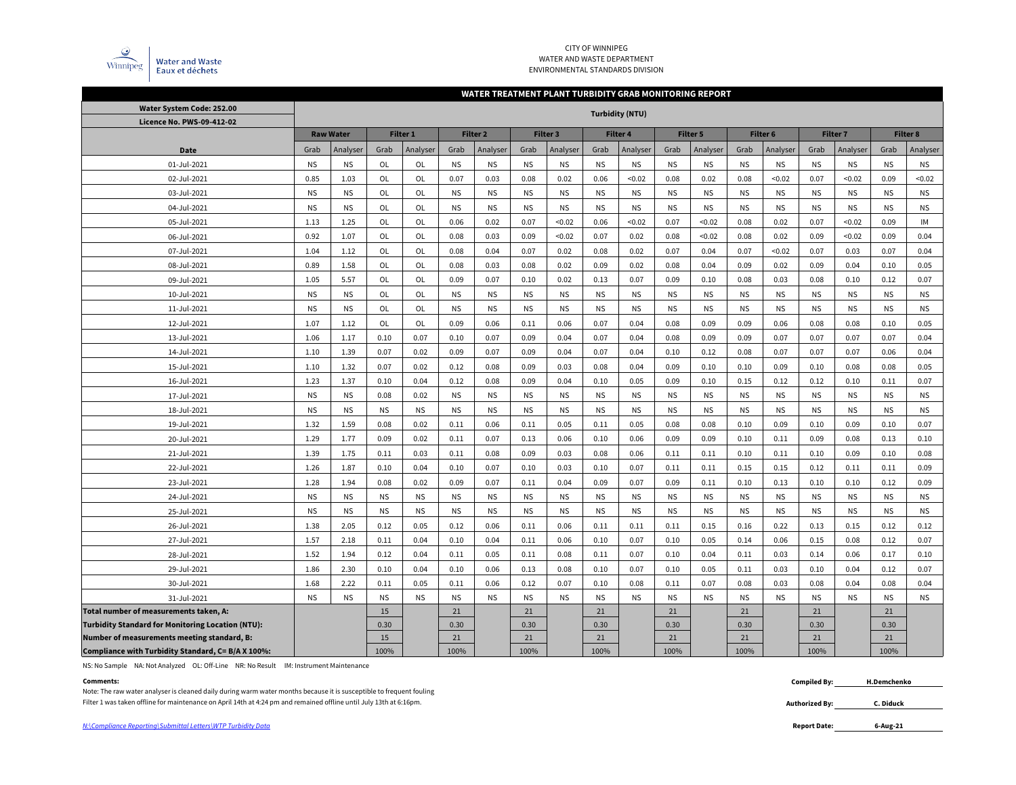

#### CITY OF WINNIPEG WATER AND WASTE DEPARTMENT ENVIRONMENTAL STANDARDS DIVISION

### **WATER TREATMENT PLANT TURBIDITY GRAB MONITORING REPORT**

| Water System Code: 252.00                                | <b>Turbidity (NTU)</b> |                  |           |           |           |                     |           |                 |           |           |           |           |           |           |           |                 |           |                 |
|----------------------------------------------------------|------------------------|------------------|-----------|-----------|-----------|---------------------|-----------|-----------------|-----------|-----------|-----------|-----------|-----------|-----------|-----------|-----------------|-----------|-----------------|
| Licence No. PWS-09-412-02                                |                        |                  |           |           |           |                     |           |                 |           |           |           |           |           |           |           |                 |           |                 |
|                                                          |                        | <b>Raw Water</b> |           | Filter 1  |           | Filter <sub>2</sub> |           | <b>Filter 3</b> |           | Filter 4  |           | Filter 5  |           | Filter 6  |           | <b>Filter 7</b> |           | <b>Filter 8</b> |
| <b>Date</b>                                              | Grab                   | Analyser         | Grab      | Analyser  | Grab      | Analyser            | Grab      | Analyser        | Grab      | Analyser  | Grab      | Analyser  | Grab      | Analyser  | Grab      | Analyser        | Grab      | Analyser        |
| 01-Jul-2021                                              | <b>NS</b>              | <b>NS</b>        | OL        | OL        | <b>NS</b> | <b>NS</b>           | <b>NS</b> | <b>NS</b>       | <b>NS</b> | <b>NS</b> | <b>NS</b> | <b>NS</b> | <b>NS</b> | <b>NS</b> | <b>NS</b> | <b>NS</b>       | <b>NS</b> | <b>NS</b>       |
| 02-Jul-2021                                              | 0.85                   | 1.03             | <b>OL</b> | OL        | 0.07      | 0.03                | 0.08      | 0.02            | 0.06      | < 0.02    | 0.08      | 0.02      | 0.08      | < 0.02    | 0.07      | < 0.02          | 0.09      | < 0.02          |
| 03-Jul-2021                                              | <b>NS</b>              | <b>NS</b>        | <b>OL</b> | OL        | <b>NS</b> | <b>NS</b>           | <b>NS</b> | <b>NS</b>       | <b>NS</b> | <b>NS</b> | <b>NS</b> | NS.       | <b>NS</b> | <b>NS</b> | <b>NS</b> | <b>NS</b>       | <b>NS</b> | <b>NS</b>       |
| 04-Jul-2021                                              | <b>NS</b>              | <b>NS</b>        | <b>OL</b> | <b>OL</b> | <b>NS</b> | <b>NS</b>           | <b>NS</b> | <b>NS</b>       | <b>NS</b> | <b>NS</b> | <b>NS</b> | <b>NS</b> | <b>NS</b> | <b>NS</b> | <b>NS</b> | <b>NS</b>       | <b>NS</b> | <b>NS</b>       |
| 05-Jul-2021                                              | 1.13                   | 1.25             | OL        | <b>OL</b> | 0.06      | 0.02                | 0.07      | < 0.02          | 0.06      | < 0.02    | 0.07      | < 0.02    | 0.08      | 0.02      | 0.07      | < 0.02          | 0.09      | IM              |
| 06-Jul-2021                                              | 0.92                   | 1.07             | <b>OL</b> | <b>OL</b> | 0.08      | 0.03                | 0.09      | < 0.02          | 0.07      | 0.02      | 0.08      | < 0.02    | 0.08      | 0.02      | 0.09      | < 0.02          | 0.09      | 0.04            |
| 07-Jul-2021                                              | 1.04                   | 1.12             | OL        | OL        | 0.08      | 0.04                | 0.07      | 0.02            | 0.08      | 0.02      | 0.07      | 0.04      | 0.07      | < 0.02    | 0.07      | 0.03            | 0.07      | 0.04            |
| 08-Jul-2021                                              | 0.89                   | 1.58             | OL        | <b>OL</b> | 0.08      | 0.03                | 0.08      | 0.02            | 0.09      | 0.02      | 0.08      | 0.04      | 0.09      | 0.02      | 0.09      | 0.04            | 0.10      | 0.05            |
| 09-Jul-2021                                              | 1.05                   | 5.57             | OL        | OL        | 0.09      | 0.07                | 0.10      | 0.02            | 0.13      | 0.07      | 0.09      | 0.10      | 0.08      | 0.03      | 0.08      | 0.10            | 0.12      | 0.07            |
| 10-Jul-2021                                              | <b>NS</b>              | <b>NS</b>        | OL        | OL        | <b>NS</b> | <b>NS</b>           | <b>NS</b> | <b>NS</b>       | <b>NS</b> | <b>NS</b> | <b>NS</b> | <b>NS</b> | <b>NS</b> | <b>NS</b> | <b>NS</b> | <b>NS</b>       | <b>NS</b> | <b>NS</b>       |
| 11-Jul-2021                                              | <b>NS</b>              | <b>NS</b>        | OL        | OL        | <b>NS</b> | <b>NS</b>           | <b>NS</b> | <b>NS</b>       | <b>NS</b> | <b>NS</b> | <b>NS</b> | <b>NS</b> | <b>NS</b> | <b>NS</b> | <b>NS</b> | <b>NS</b>       | <b>NS</b> | <b>NS</b>       |
| 12-Jul-2021                                              | 1.07                   | 1.12             | <b>OL</b> | OL        | 0.09      | 0.06                | 0.11      | 0.06            | 0.07      | 0.04      | 0.08      | 0.09      | 0.09      | 0.06      | 0.08      | 0.08            | 0.10      | 0.05            |
| 13-Jul-2021                                              | 1.06                   | 1.17             | 0.10      | 0.07      | 0.10      | 0.07                | 0.09      | 0.04            | 0.07      | 0.04      | 0.08      | 0.09      | 0.09      | 0.07      | 0.07      | 0.07            | 0.07      | 0.04            |
| 14-Jul-2021                                              | 1.10                   | 1.39             | 0.07      | 0.02      | 0.09      | 0.07                | 0.09      | 0.04            | 0.07      | 0.04      | 0.10      | 0.12      | 0.08      | 0.07      | 0.07      | 0.07            | 0.06      | 0.04            |
| 15-Jul-2021                                              | 1.10                   | 1.32             | 0.07      | 0.02      | 0.12      | 0.08                | 0.09      | 0.03            | 0.08      | 0.04      | 0.09      | 0.10      | 0.10      | 0.09      | 0.10      | 0.08            | 0.08      | 0.05            |
| 16-Jul-2021                                              | 1.23                   | 1.37             | 0.10      | 0.04      | 0.12      | 0.08                | 0.09      | 0.04            | 0.10      | 0.05      | 0.09      | 0.10      | 0.15      | 0.12      | 0.12      | 0.10            | 0.11      | 0.07            |
| 17-Jul-2021                                              | <b>NS</b>              | <b>NS</b>        | 0.08      | 0.02      | <b>NS</b> | <b>NS</b>           | <b>NS</b> | <b>NS</b>       | <b>NS</b> | <b>NS</b> | <b>NS</b> | <b>NS</b> | <b>NS</b> | <b>NS</b> | <b>NS</b> | <b>NS</b>       | <b>NS</b> | <b>NS</b>       |
| 18-Jul-2021                                              | <b>NS</b>              | <b>NS</b>        | <b>NS</b> | <b>NS</b> | <b>NS</b> | <b>NS</b>           | <b>NS</b> | <b>NS</b>       | <b>NS</b> | <b>NS</b> | <b>NS</b> | <b>NS</b> | <b>NS</b> | <b>NS</b> | <b>NS</b> | <b>NS</b>       | <b>NS</b> | <b>NS</b>       |
| 19-Jul-2021                                              | 1.32                   | 1.59             | 0.08      | 0.02      | 0.11      | 0.06                | 0.11      | 0.05            | 0.11      | 0.05      | 0.08      | 0.08      | 0.10      | 0.09      | 0.10      | 0.09            | 0.10      | 0.07            |
| 20-Jul-2021                                              | 1.29                   | 1.77             | 0.09      | 0.02      | 0.11      | 0.07                | 0.13      | 0.06            | 0.10      | 0.06      | 0.09      | 0.09      | 0.10      | 0.11      | 0.09      | 0.08            | 0.13      | 0.10            |
| 21-Jul-2021                                              | 1.39                   | 1.75             | 0.11      | 0.03      | 0.11      | 0.08                | 0.09      | 0.03            | 0.08      | 0.06      | 0.11      | 0.11      | 0.10      | 0.11      | 0.10      | 0.09            | 0.10      | 0.08            |
| 22-Jul-2021                                              | 1.26                   | 1.87             | 0.10      | 0.04      | 0.10      | 0.07                | 0.10      | 0.03            | 0.10      | 0.07      | 0.11      | 0.11      | 0.15      | 0.15      | 0.12      | 0.11            | 0.11      | 0.09            |
| 23-Jul-2021                                              | 1.28                   | 1.94             | 0.08      | 0.02      | 0.09      | 0.07                | 0.11      | 0.04            | 0.09      | 0.07      | 0.09      | 0.11      | 0.10      | 0.13      | 0.10      | 0.10            | 0.12      | 0.09            |
| 24-Jul-2021                                              | <b>NS</b>              | <b>NS</b>        | <b>NS</b> | <b>NS</b> | <b>NS</b> | <b>NS</b>           | <b>NS</b> | <b>NS</b>       | <b>NS</b> | <b>NS</b> | <b>NS</b> | <b>NS</b> | <b>NS</b> | <b>NS</b> | <b>NS</b> | <b>NS</b>       | <b>NS</b> | <b>NS</b>       |
| 25-Jul-2021                                              | <b>NS</b>              | <b>NS</b>        | <b>NS</b> | <b>NS</b> | <b>NS</b> | <b>NS</b>           | <b>NS</b> | <b>NS</b>       | <b>NS</b> | <b>NS</b> | <b>NS</b> | <b>NS</b> | <b>NS</b> | <b>NS</b> | <b>NS</b> | <b>NS</b>       | <b>NS</b> | <b>NS</b>       |
| 26-Jul-2021                                              | 1.38                   | 2.05             | 0.12      | 0.05      | 0.12      | 0.06                | 0.11      | 0.06            | 0.11      | 0.11      | 0.11      | 0.15      | 0.16      | 0.22      | 0.13      | 0.15            | 0.12      | 0.12            |
| 27-Jul-2021                                              | 1.57                   | 2.18             | 0.11      | 0.04      | 0.10      | 0.04                | 0.11      | 0.06            | 0.10      | 0.07      | 0.10      | 0.05      | 0.14      | 0.06      | 0.15      | 0.08            | 0.12      | 0.07            |
| 28-Jul-2021                                              | 1.52                   | 1.94             | 0.12      | 0.04      | 0.11      | 0.05                | 0.11      | 0.08            | 0.11      | 0.07      | 0.10      | 0.04      | 0.11      | 0.03      | 0.14      | 0.06            | 0.17      | 0.10            |
| 29-Jul-2021                                              | 1.86                   | 2.30             | 0.10      | 0.04      | 0.10      | 0.06                | 0.13      | 0.08            | 0.10      | 0.07      | 0.10      | 0.05      | 0.11      | 0.03      | 0.10      | 0.04            | 0.12      | 0.07            |
| 30-Jul-2021                                              | 1.68                   | 2.22             | 0.11      | 0.05      | 0.11      | 0.06                | 0.12      | 0.07            | 0.10      | 0.08      | 0.11      | 0.07      | 0.08      | 0.03      | 0.08      | 0.04            | 0.08      | 0.04            |
| 31-Jul-2021                                              | <b>NS</b>              | <b>NS</b>        | <b>NS</b> | <b>NS</b> | <b>NS</b> | <b>NS</b>           | <b>NS</b> | <b>NS</b>       | <b>NS</b> | <b>NS</b> | <b>NS</b> | <b>NS</b> | <b>NS</b> | <b>NS</b> | <b>NS</b> | <b>NS</b>       | <b>NS</b> | <b>NS</b>       |
| Total number of measurements taken, A:                   |                        |                  | 15        |           | 21        |                     | 21        |                 | 21        |           | 21        |           | 21        |           | 21        |                 | 21        |                 |
| <b>Turbidity Standard for Monitoring Location (NTU):</b> |                        |                  | 0.30      |           | 0.30      |                     | 0.30      |                 | 0.30      |           | 0.30      |           | 0.30      |           | 0.30      |                 | 0.30      |                 |
| Number of measurements meeting standard, B:              |                        |                  | 15        |           | 21        |                     | 21        |                 | 21        |           | 21        |           | 21        |           | 21        |                 | 21        |                 |
| Compliance with Turbidity Standard, C= B/A X 100%:       |                        |                  | 100%      |           | 100%      |                     | 100%      |                 | 100%      |           | 100%      |           | 100%      |           | 100%      |                 | 100%      |                 |

NS: No Sample NA: Not Analyzed OL: Off-Line NR: No Result IM: Instrument Maintenance

#### **Comments: Compiled By:**

Filter 1 was taken offline for maintenance on April 14th at 4:24 pm and remained offline until July 13th at 6:16pm. Note: The raw water analyser is cleaned daily during warm water months because it is susceptible to frequent fouling

**Authorized By:**

**6-Aug-21**

**H.Demchenko**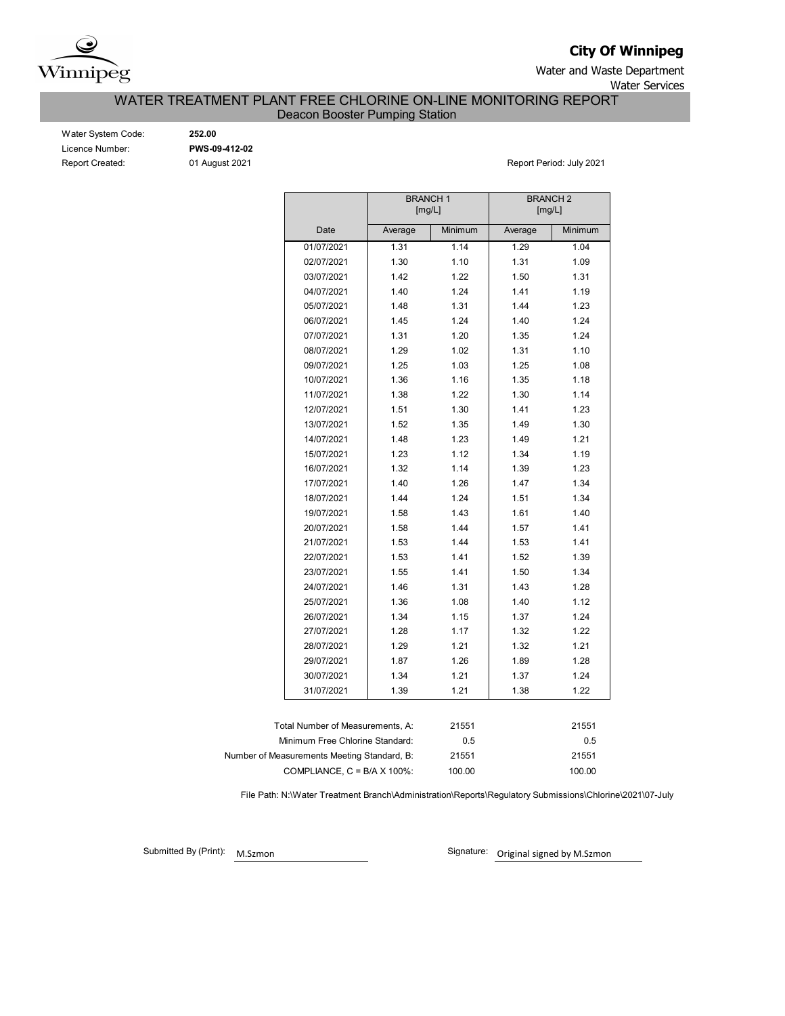

**City Of Winnipeg**

Water and Waste Department Water Services

WATER TREATMENT PLANT FREE CHLORINE ON-LINE MONITORING REPORT

Deacon Booster Pumping Station

| Water System Code:     |
|------------------------|
| Licence Number:        |
| <b>Report Created:</b> |

Water System Code: **252.00** Licence Number: **PWS-09-412-02**

01 August 2021 **Report Period: July 2021** 

|                                             |         | <b>BRANCH1</b><br>[mg/L] | <b>BRANCH 2</b> | [mg/L]  |
|---------------------------------------------|---------|--------------------------|-----------------|---------|
| Date                                        | Average | Minimum                  | Average         | Minimum |
| 01/07/2021                                  | 1.31    | 1.14                     | 1.29            | 1.04    |
| 02/07/2021                                  | 1.30    | 1.10                     | 1.31            | 1.09    |
| 03/07/2021                                  | 1.42    | 1.22                     | 1.50            | 1.31    |
| 04/07/2021                                  | 1.40    | 1.24                     | 1.41            | 1.19    |
| 05/07/2021                                  | 1.48    | 1.31                     | 1.44            | 1.23    |
| 06/07/2021                                  | 1.45    | 1.24                     | 1.40            | 1.24    |
| 07/07/2021                                  | 1.31    | 1.20                     | 1.35            | 1.24    |
| 08/07/2021                                  | 1.29    | 1.02                     | 1.31            | 1.10    |
| 09/07/2021                                  | 1.25    | 1.03                     | 1.25            | 1.08    |
| 10/07/2021                                  | 1.36    | 1.16                     | 1.35            | 1.18    |
| 11/07/2021                                  | 1.38    | 1.22                     | 1.30            | 1.14    |
| 12/07/2021                                  | 1.51    | 1.30                     | 1.41            | 1.23    |
| 13/07/2021                                  | 1.52    | 1.35                     | 1.49            | 1.30    |
| 14/07/2021                                  | 1.48    | 1.23                     | 1.49            | 1.21    |
| 15/07/2021                                  | 1.23    | 1.12                     | 1.34            | 1.19    |
| 16/07/2021                                  | 1.32    | 1.14                     | 1.39            | 1.23    |
| 17/07/2021                                  | 1.40    | 1.26                     | 1.47            | 1.34    |
| 18/07/2021                                  | 1.44    | 1.24                     | 1.51            | 1.34    |
| 19/07/2021                                  | 1.58    | 1.43                     | 1.61            | 1.40    |
| 20/07/2021                                  | 1.58    | 1.44                     | 1.57            | 1.41    |
| 21/07/2021                                  | 1.53    | 1.44                     | 1.53            | 1.41    |
| 22/07/2021                                  | 1.53    | 1.41                     | 1.52            | 1.39    |
| 23/07/2021                                  | 1.55    | 1.41                     | 1.50            | 1.34    |
| 24/07/2021                                  | 1.46    | 1.31                     | 1.43            | 1.28    |
| 25/07/2021                                  | 1.36    | 1.08                     | 1.40            | 1.12    |
| 26/07/2021                                  | 1.34    | 1.15                     | 1.37            | 1.24    |
| 27/07/2021                                  | 1.28    | 1.17                     | 1.32            | 1.22    |
| 28/07/2021                                  | 1.29    | 1.21                     | 1.32            | 1.21    |
| 29/07/2021                                  | 1.87    | 1.26                     | 1.89            | 1.28    |
| 30/07/2021                                  | 1.34    | 1.21                     | 1.37            | 1.24    |
| 31/07/2021                                  | 1.39    | 1.21                     | 1.38            | 1.22    |
|                                             |         |                          |                 |         |
| Total Number of Measurements, A:            |         | 21551                    |                 | 21551   |
| Minimum Free Chlorine Standard:             |         | 0.5                      |                 | 0.5     |
| Number of Measurements Meeting Standard, B: |         | 21551                    |                 | 21551   |
| COMPLIANCE, C = B/A X 100%:                 |         | 100.00                   |                 | 100.00  |

File Path: N:\Water Treatment Branch\Administration\Reports\Regulatory Submissions\Chlorine\2021\07-July

Submitted By (Print):

M.Szmon **Communist Communist Communist Communist Communist Communist Communist Communist Communist Communist Communist Communist Communist Communist Communist Communist Communist Communist Communist Communist Communist Com**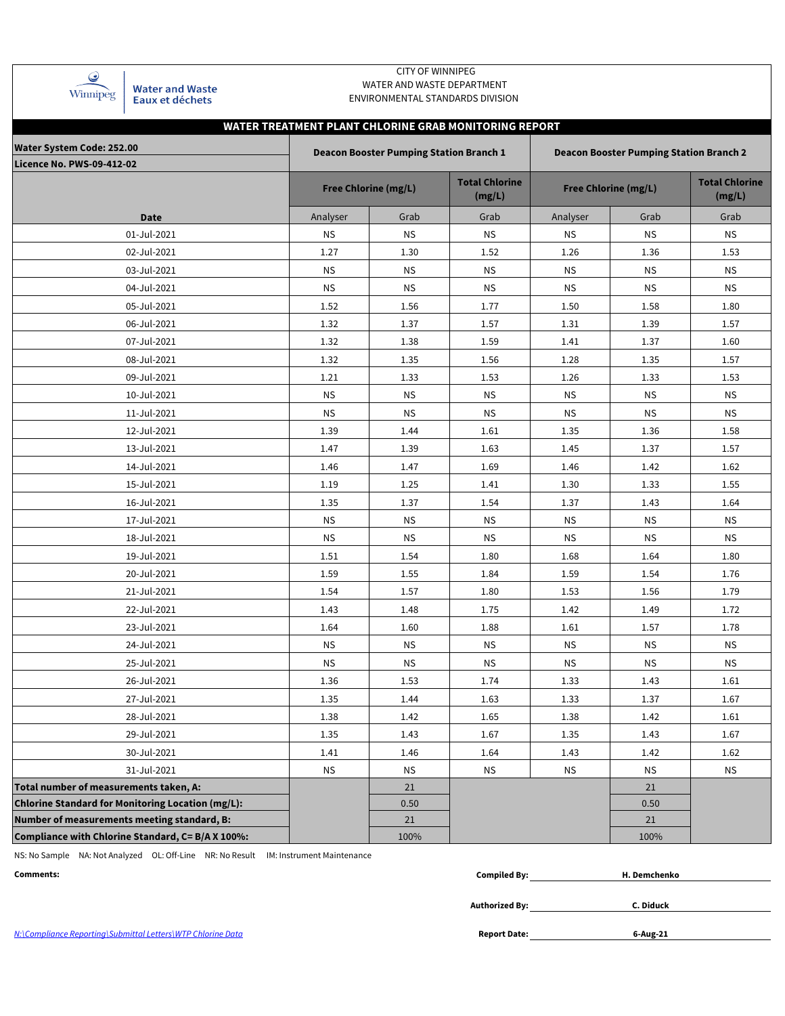| Winnipeg |
|----------|

**Water and Waste** Eaux et déchets

### CITY OF WINNIPEG WATER AND WASTE DEPARTMENT ENVIRONMENTAL STANDARDS DIVISION

# **WATER TREATMENT PLANT CHLORINE GRAB MONITORING REPORT**

| <b>Water System Code: 252.00</b><br><b>Licence No. PWS-09-412-02</b> |           | <b>Deacon Booster Pumping Station Branch 1</b> |                                 | <b>Deacon Booster Pumping Station Branch 2</b> |                             |                                 |  |  |  |
|----------------------------------------------------------------------|-----------|------------------------------------------------|---------------------------------|------------------------------------------------|-----------------------------|---------------------------------|--|--|--|
|                                                                      |           | <b>Free Chlorine (mg/L)</b>                    | <b>Total Chlorine</b><br>(mg/L) |                                                | <b>Free Chlorine (mg/L)</b> | <b>Total Chlorine</b><br>(mg/L) |  |  |  |
| <b>Date</b>                                                          | Analyser  | Grab                                           | Grab                            | Analyser                                       | Grab                        | Grab                            |  |  |  |
| 01-Jul-2021                                                          | <b>NS</b> | <b>NS</b>                                      | <b>NS</b>                       | <b>NS</b>                                      | <b>NS</b>                   | <b>NS</b>                       |  |  |  |
| 02-Jul-2021                                                          | 1.27      | 1.30                                           | 1.52                            | 1.26                                           | 1.36                        | 1.53                            |  |  |  |
| 03-Jul-2021                                                          | <b>NS</b> | <b>NS</b>                                      | <b>NS</b>                       | <b>NS</b>                                      | <b>NS</b>                   | <b>NS</b>                       |  |  |  |
| 04-Jul-2021                                                          | <b>NS</b> | <b>NS</b>                                      | <b>NS</b>                       | <b>NS</b>                                      | <b>NS</b>                   | <b>NS</b>                       |  |  |  |
| 05-Jul-2021                                                          | 1.52      | 1.56                                           | 1.77                            | 1.50                                           | 1.58                        | 1.80                            |  |  |  |
| 06-Jul-2021                                                          | 1.32      | 1.37                                           | 1.57                            | 1.31                                           | 1.39                        | 1.57                            |  |  |  |
| 07-Jul-2021                                                          | 1.32      | 1.38                                           | 1.59                            | 1.41                                           | 1.37                        | 1.60                            |  |  |  |
| 08-Jul-2021                                                          | 1.32      | 1.35                                           | 1.56                            | 1.28                                           | 1.35                        | 1.57                            |  |  |  |
| 09-Jul-2021                                                          | 1.21      | 1.33                                           | 1.53                            | 1.26                                           | 1.33                        | 1.53                            |  |  |  |
| 10-Jul-2021                                                          | <b>NS</b> | <b>NS</b>                                      | ΝS                              | <b>NS</b>                                      | ΝS                          | <b>NS</b>                       |  |  |  |
| 11-Jul-2021                                                          | <b>NS</b> | <b>NS</b>                                      | <b>NS</b>                       | <b>NS</b>                                      | <b>NS</b>                   | <b>NS</b>                       |  |  |  |
| 12-Jul-2021                                                          | 1.39      | 1.44                                           | 1.61                            | 1.35                                           | 1.36                        | 1.58                            |  |  |  |
| 13-Jul-2021                                                          | 1.47      | 1.39                                           | 1.63                            | 1.45                                           | 1.37                        | 1.57                            |  |  |  |
| 14-Jul-2021                                                          | 1.46      | 1.47                                           | 1.69                            | 1.46                                           | 1.42                        | 1.62                            |  |  |  |
| 15-Jul-2021                                                          | 1.19      | 1.25                                           | 1.41                            | 1.30                                           | 1.33                        | 1.55                            |  |  |  |
| 16-Jul-2021                                                          | 1.35      | 1.37                                           | 1.54                            | 1.37                                           | 1.43                        | 1.64                            |  |  |  |
| 17-Jul-2021                                                          | <b>NS</b> | <b>NS</b>                                      | ΝS                              | <b>NS</b>                                      | <b>NS</b>                   | <b>NS</b>                       |  |  |  |
| 18-Jul-2021                                                          | ΝS        | <b>NS</b>                                      | <b>NS</b>                       | <b>NS</b>                                      | <b>NS</b>                   | <b>NS</b>                       |  |  |  |
| 19-Jul-2021                                                          | 1.51      | 1.54                                           | 1.80                            | 1.68                                           | 1.64                        | 1.80                            |  |  |  |
| 20-Jul-2021                                                          | 1.59      | 1.55                                           | 1.84                            | 1.59                                           | 1.54                        | 1.76                            |  |  |  |
| 21-Jul-2021                                                          | 1.54      | 1.57                                           | 1.80                            | 1.53                                           | 1.56                        | 1.79                            |  |  |  |
| 22-Jul-2021                                                          | 1.43      | 1.48                                           | 1.75                            | 1.42                                           | 1.49                        | 1.72                            |  |  |  |
| 23-Jul-2021                                                          | 1.64      | 1.60                                           | 1.88                            | 1.61                                           | 1.57                        | 1.78                            |  |  |  |
| 24-Jul-2021                                                          | <b>NS</b> | ΝS                                             | ΝS                              | <b>NS</b>                                      | <b>NS</b>                   | ΝS                              |  |  |  |
| 25-Jul-2021                                                          | <b>NS</b> | <b>NS</b>                                      | <b>NS</b>                       | <b>NS</b>                                      | <b>NS</b>                   | <b>NS</b>                       |  |  |  |
| 26-Jul-2021                                                          | 1.36      | 1.53                                           | 1.74                            | 1.33                                           | 1.43                        | 1.61                            |  |  |  |
| 27-Jul-2021                                                          | 1.35      | 1.44                                           | 1.63                            | 1.33                                           | 1.37                        | 1.67                            |  |  |  |
| 28-Jul-2021                                                          | 1.38      | 1.42                                           | 1.65                            | 1.38                                           | 1.42                        | 1.61                            |  |  |  |
| 29-Jul-2021                                                          | 1.35      | 1.43                                           | 1.67                            | 1.35                                           | 1.43                        | 1.67                            |  |  |  |
| 30-Jul-2021                                                          | 1.41      | 1.46                                           | 1.64                            | 1.43                                           | 1.42                        | 1.62                            |  |  |  |
| 31-Jul-2021                                                          | <b>NS</b> | <b>NS</b>                                      | <b>NS</b>                       | <b>NS</b>                                      | <b>NS</b>                   | <b>NS</b>                       |  |  |  |
| Total number of measurements taken, A:                               |           | 21                                             |                                 |                                                | 21                          |                                 |  |  |  |
| <b>Chlorine Standard for Monitoring Location (mg/L):</b>             |           | 0.50                                           |                                 |                                                | 0.50                        |                                 |  |  |  |
| Number of measurements meeting standard, B:                          |           | 21                                             |                                 |                                                | 21                          |                                 |  |  |  |
| Compliance with Chlorine Standard, C= B/A X 100%:                    |           | 100%                                           |                                 |                                                | 100%                        |                                 |  |  |  |

NS: No Sample NA: Not Analyzed OL: Off-Line NR: No Result IM: Instrument Maintenance

| emchenko |
|----------|
|          |

**Authorized By:**

**C. Diduck**

*N:\Compliance Reporting\Submittal Letters\WTP Chlorine Data* **Report Date:**

**6-Aug-21**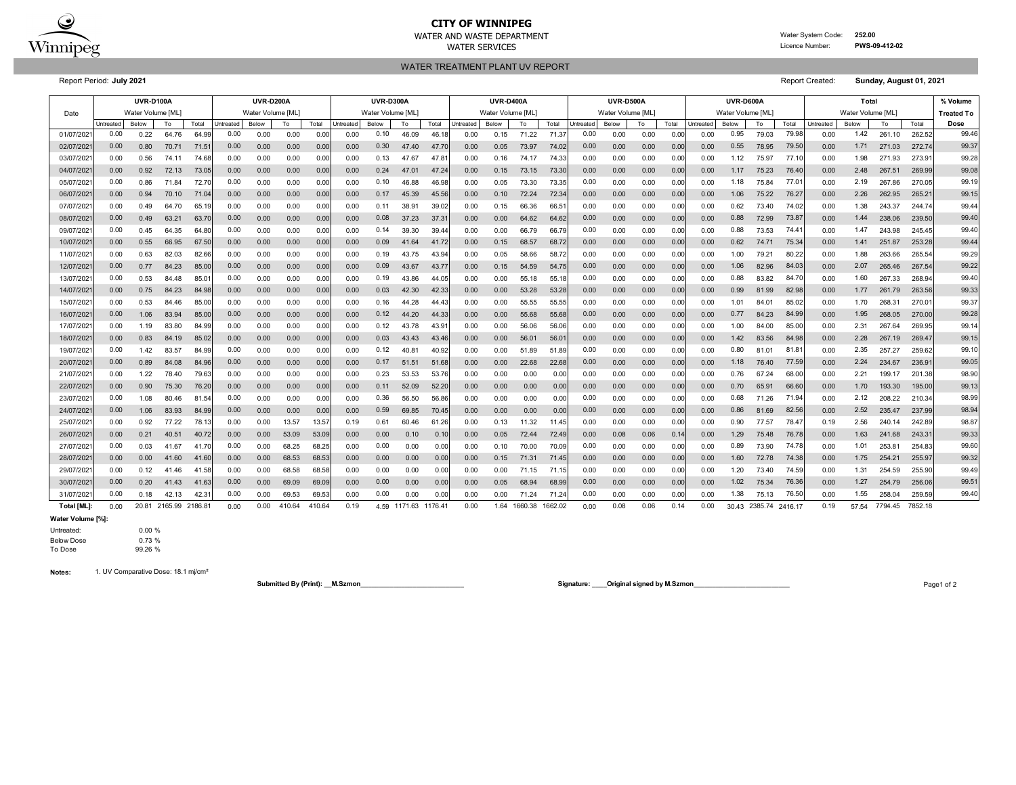

# **CITY OF WINNIPEG**

WATER AND WASTE DEPARTMENT Water System Code: **252.00** WATER SERVICES **EXAMPLE SERVICES Licence Number: PWS-09-412-02** 

WATER TREATMENT PLANT UV REPORT

Report Period: **July 2021** Report Created: **Sunday, August 01, 2021**

|           | <b>UVR-D100A</b> |                  |       |                |           | <b>UVR-D200A</b>  |       |       | <b>UVR-D300A</b> |                   |       |       | <b>UVR-D400A</b> |                   |       | <b>UVR-D500A</b> |                   |       |      | UVR-D600A |                   |       |       | Total             |           |       |        | % Volume          |       |
|-----------|------------------|------------------|-------|----------------|-----------|-------------------|-------|-------|------------------|-------------------|-------|-------|------------------|-------------------|-------|------------------|-------------------|-------|------|-----------|-------------------|-------|-------|-------------------|-----------|-------|--------|-------------------|-------|
| Date      |                  | Water Volume IML |       |                |           | Water Volume [ML] |       |       |                  | Water Volume [ML] |       |       |                  | Water Volume [ML] |       |                  | Water Volume [ML] |       |      |           | Water Volume [ML] |       |       | Water Volume [ML] |           |       |        | <b>Treated To</b> |       |
|           | Untreated        | Below            | To    | Total          | Untreated | Below             | To    | Total | Untreated        | Below             | To    | Total | <b>Jntreated</b> | Below             | To    | Total            | Untreated         | Below | To   | Total     | Untreated         | Below | To    | Total             | Untreated | Below | To     | Total             | Dose  |
| 01/07/202 | 0.00             | 0.22             | 64.76 | 64.99          | 0.00      | 0.00              | 0.00  | 0.00  | 0.00             | 0.10              | 46.09 | 46.18 | 0.00             | 0.15              | 71.22 | 71.3             | 0.00              | 0.00  | 0.00 | 0.00      | 0.00              | 0.95  | 79.03 | 79.98             | 0.00      | 1.42  | 261.10 | 262.52            | 99.46 |
| 02/07/202 | 0.00             | 0.80             | 70.71 | $71.5^{\circ}$ | 0.00      | 0.00              | 0.00  | 0.00  | 0.00             | 0.30              | 47.40 | 47.70 | 0.00             | 0.05              | 73.97 | 74.02            | 0.00              | 0.00  | 0.00 | 0.00      | 0.00              | 0.55  | 78.95 | 79.50             | 0.00      | 1.71  | 271.03 | 272.74            | 99.37 |
| 03/07/202 | 0.00             | 0.56             | 74.11 | 74.68          | 0.00      | 0.00              | 0.00  | 0.00  | 0.00             | 0.13              | 47.67 | 47.8  | 0.00             | 0.16              | 74.17 | 74.33            | 0.00              | 0.00  | 0.00 | 0.00      | 0.00              | 1.12  | 75.97 | 77.10             | 0.00      | 1.98  | 271.93 | 273.9             | 99.28 |
| 04/07/202 | 0.00             | 0.92             | 72.13 | 73.05          | 0.00      | 0.00              | 0.00  | 0.00  | 0.00             | 0.24              | 47.01 | 47.24 | 0.00             | 0.15              | 73.15 | 73.30            | 0.00              | 0.00  | 0.00 | 0.00      | 0.00              | 1.17  | 75.23 | 76.40             | 0.00      | 2.48  | 267.51 | 269.99            | 99.08 |
| 05/07/202 | 0.00             | 0.86             | 71.84 | 72.70          | 0.00      | 0.00              | 0.00  | 0.00  | 0.00             | 0.10              | 46.88 | 46.98 | 0.00             | 0.05              | 73.30 | 73.35            | 0.00              | 0.00  | 0.00 | 0.00      | 0.00              | 1.18  | 75.84 | $77.0^{\circ}$    | 0.00      | 2.19  | 267.86 | 270.05            | 99.19 |
| 06/07/202 | 0.00             | 0.94             | 70.10 | 71.04          | 0.00      | 0.00              | 0.00  | 0.00  | 0.00             | 0.17              | 45.39 | 45.56 | 0.00             | 0.10              | 72.24 | 72.34            | 0.00              | 0.00  | 0.00 | 0.00      | 0.00              | 1.06  | 75.22 | 76.27             | 0.00      | 2.26  | 262.95 | 265.2'            | 99.15 |
| 07/07/202 | 0.00             | 0.49             | 64.70 | 65.19          | 0.00      | 0.00              | 0.00  | 0.00  | 0.00             | 0.11              | 38.91 | 39.02 | 0.00             | 0.15              | 66.36 | 66.5'            | 0.00              | 0.00  | 0.00 | 0.00      | 0.00              | 0.62  | 73.40 | 74.02             | 0.00      | 1.38  | 243.37 | 244.74            | 99.44 |
| 08/07/202 | 0.00             | 0.49             | 63.21 | 63.70          | 0.00      | 0.00              | 0.00  | 0.00  | 0.00             | 0.08              | 37.23 | 37.3  | 0.00             | 0.00              | 64.62 | 64.62            | 0.00              | 0.00  | 0.00 | 0.00      | 0.00              | 0.88  | 72.99 | 73.87             | 0.00      | 1.44  | 238.06 | 239.50            | 99.40 |
| 09/07/202 | 0.00             | 0.45             | 64.35 | 64.80          | 0.00      | 0.00              | 0.00  | 0.00  | 0.00             | 0.14              | 39.30 | 39.4  | 0.00             | 0.00              | 66.79 | 66.79            | 0.00              | 0.00  | 0.00 | 0.00      | 0.00              | 0.88  | 73.53 | 74.4              | 0.00      | 1.47  | 243.98 | 245.45            | 99.40 |
| 10/07/202 | 0.00             | 0.55             | 66.95 | 67.50          | 0.00      | 0.00              | 0.00  | 0.00  | 0.00             | 0.09              | 41.64 | 41.72 | 0.00             | 0.15              | 68.57 | 68.72            | 0.00              | 0.00  | 0.00 | 0.00      | 0.00              | 0.62  | 74.71 | 75.34             | 0.00      | 1.41  | 251.87 | 253.28            | 99.44 |
| 11/07/202 | 0.00             | 0.63             | 82.03 | 82.66          | 0.00      | 0.00              | 0.00  | 0.00  | 0.00             | 0.19              | 43.75 | 43.94 | 0.00             | 0.05              | 58.66 | 58.72            | 0.00              | 0.00  | 0.00 | 0.00      | 0.00              | 1.00  | 79.21 | 80.22             | 0.00      | 1.88  | 263.66 | 265.54            | 99.29 |
| 12/07/202 | 0.00             | 0.77             | 84.23 | 85.00          | 0.00      | 0.00              | 0.00  | 0.00  | 0.00             | 0.09              | 43.67 | 43.7  | 0.00             | 0.15              | 54.59 | 54.75            | 0.00              | 0.00  | 0.00 | 0.00      | 0.00              | 1.06  | 82.96 | 84.03             | 0.00      | 2.07  | 265.46 | 267.54            | 99.22 |
| 13/07/202 | 0.00             | 0.53             | 84.48 | 85.0           | 0.00      | 0.00              | 0.00  | 0.00  | 0.00             | 0.19              | 43.86 | 44.05 | 0.00             | 0.00              | 55.18 | 55.1             | 0.00              | 0.00  | 0.00 | 0.00      | 0.00              | 0.88  | 83.82 | 84.7              | 0.00      | 1.60  | 267.33 | 268.94            | 99.40 |
| 14/07/202 | 0.00             | 0.75             | 84.23 | 84.98          | 0.00      | 0.00              | 0.00  | 0.00  | 0.00             | 0.03              | 42.30 | 42.33 | 0.00             | 0.00              | 53.28 | 53.28            | 0.00              | 0.00  | 0.00 | 0.00      | 0.00              | 0.99  | 81.99 | 82.98             | 0.00      | 1.77  | 261.79 | 263.56            | 99.33 |
| 15/07/202 | 0.00             | 0.53             | 84.46 | 85.00          | 0.00      | 0.00              | 0.00  | 0.00  | 0.00             | 0.16              | 44.28 | 44.43 | 0.00             | 0.00              | 55.55 | 55.55            | 0.00              | 0.00  | 0.00 | 0.00      | 0.00              | 1.01  | 84.01 | 85.02             | 0.00      | 1.70  | 268.31 | 270.0             | 99.37 |
| 16/07/202 | 0.00             | 1.06             | 83.94 | 85.00          | 0.00      | 0.00              | 0.00  | 0.00  | 0.00             | 0.12              | 44.20 | 44.33 | 0.00             | 0.00              | 55.68 | 55.68            | 0.00              | 0.00  | 0.00 | 0.00      | 0.00              | 0.77  | 84.23 | 84.99             | 0.00      | 1.95  | 268.05 | 270.00            | 99.28 |
| 17/07/202 | 0.00             | 1.19             | 83.80 | 84.99          | 0.00      | 0.00              | 0.00  | 0.00  | 0.00             | 0.12              | 43.78 | 43.91 | 0.00             | 0.00              | 56.06 | 56.06            | 0.00              | 0.00  | 0.00 | 0.00      | 0.00              | 1.00  | 84.00 | 85.00             | 0.00      | 2.31  | 267.64 | 269.95            | 99.14 |
| 18/07/202 | 0.00             | 0.83             | 84.19 | 85.02          | 0.00      | 0.00              | 0.00  | 0.00  | 0.00             | 0.03              | 43.43 | 43.46 | 0.00             | 0.00              | 56.01 | 56.0             | 0.00              | 0.00  | 0.00 | 0.00      | 0.00              | 1.42  | 83.56 | 84.98             | 0.00      | 2.28  | 267.19 | 269.47            | 99.15 |
| 19/07/202 | 0.00             | 1.42             | 83.57 | 84.99          | 0.00      | 0.00              | 0.00  | 0.00  | 0.00             | 0.12              | 40.81 | 40.92 | 0.00             | 0.00              | 51.89 | 51.89            | 0.00              | 0.00  | 0.00 | 0.00      | 0.00              | 0.80  | 81.01 | 81.81             | 0.00      | 2.35  | 257.27 | 259.62            | 99.10 |
| 20/07/202 | 0.00             | 0.89             | 84.08 | 84.96          | 0.00      | 0.00              | 0.00  | 0.00  | 0.00             | 0.17              | 51.51 | 51.68 | 0.00             | 0.00              | 22.68 | 22.68            | 0.00              | 0.00  | 0.00 | 0.00      | 0.00              | 1.18  | 76.40 | 77.59             | 0.00      | 2.24  | 234.67 | 236.9             | 99.05 |
| 21/07/202 | 0.00             | 1.22             | 78.40 | 79.63          | 0.00      | 0.00              | 0.00  | 0.00  | 0.00             | 0.23              | 53.53 | 53.76 | 0.00             | 0.00              | 0.00  | 0.00             | 0.00              | 0.00  | 0.00 | 0.00      | 0.00              | 0.76  | 67.24 | 68.0              | 0.00      | 2.21  | 199.17 | 201.38            | 98.90 |
| 22/07/202 | 0.00             | 0.90             | 75.30 | 76.20          | 0.00      | 0.00              | 0.00  | 0.00  | 0.00             | 0.11              | 52.09 | 52.20 | 0.00             | 0.00              | 0.00  | 0.00             | 0.00              | 0.00  | 0.00 | 0.00      | 0.00              | 0.70  | 65.9  | 66.60             | 0.00      | 1.70  | 193.30 | 195.00            | 99.13 |
| 23/07/202 | 0.00             | 1.08             | 80.46 | 81.54          | 0.00      | 0.00              | 0.00  | 0.00  | 0.00             | 0.36              | 56.50 | 56.86 | 0.00             | 0.00              | 0.00  | 0.00             | 0.00              | 0.00  | 0.00 | 0.00      | 0.00              | 0.68  | 71.26 | 71.94             | 0.00      | 2.12  | 208.22 | 210.34            | 98.99 |
| 24/07/202 | 0.00             | 1.06             | 83.93 | 84.99          | 0.00      | 0.00              | 0.00  | 0.00  | 0.00             | 0.59              | 69.85 | 70.45 | 0.00             | 0.00              | 0.00  | 0.00             | 0.00              | 0.00  | 0.00 | 0.00      | 0.00              | 0.86  | 81.69 | 82.56             | 0.00      | 2.52  | 235.47 | 237.99            | 98.94 |
| 25/07/202 | 0.00             | 0.92             | 77.22 | 78.1           | 0.00      | 0.00              | 13.57 | 13.57 | 0.19             | 0.61              | 60.46 | 61.26 | 0.00             | 0.13              | 11.32 | 11.45            | 0.00              | 0.00  | 0.00 | 0.00      | 0.00              | 0.90  | 77.57 | 78.47             | 0.19      | 2.56  | 240.14 | 242.89            | 98.87 |
| 26/07/202 | 0.00             | 0.21             | 40.51 | 40.7           | 0.00      | 0.00              | 53.09 | 53.09 | 0.00             | 0.00              | 0.10  | 0.10  | 0.00             | 0.05              | 72.44 | 72.49            | 0.00              | 0.08  | 0.06 | 0.14      | 0.00              | 1.29  | 75.48 | 76.78             | 0.00      | 1.63  | 241.68 | 243.3'            | 99.33 |
| 27/07/202 | 0.00             | 0.03             | 41.67 | 41.70          | 0.00      | 0.00              | 68.25 | 68.2  | 0.00             | 0.00              | 0.00  | 0.00  | 0.00             | 0.10              | 70.00 | 70.09            | 0.00              | 0.00  | 0.00 | 0.00      | 0.00              | 0.89  | 73.90 | 74.78             | 0.00      | 1.01  | 253.81 | 254.83            | 99.60 |
| 28/07/202 | 0.00             | 0.00             | 41.60 | 41.60          | 0.00      | 0.00              | 68.53 | 68.53 | 0.00             | 0.00              | 0.00  | 0.00  | 0.00             | 0.15              | 71.31 | 71.45            | 0.00              | 0.00  | 0.00 | 0.00      | 0.00              | 1.60  | 72.78 | 74.38             | 0.00      | 1.75  | 254.21 | 255.97            | 99.32 |
| 29/07/202 | 0.00             | 0.12             | 41.46 | 41.58          | 0.00      | 0.00              | 68.58 | 68.58 | 0.00             | 0.00              | 0.00  | 0.00  | 0.00             | 0.00              | 71.15 | 71.15            | 0.00              | 0.00  | 0.00 | 0.00      | 0.00              | 1.20  | 73.40 | 74.59             | 0.00      | 1.31  | 254.59 | 255.90            | 99.49 |
| 30/07/202 | 0.00             | 0.20             | 41.43 | 41.63          | 0.00      | 0.00              | 69.09 | 69.09 | 0.00             | 0.00              | 0.00  | 0.00  | 0.00             | 0.05              | 68.94 | 68.99            | 0.00              | 0.00  | 0.00 | 0.00      | 0.00              | 1.02  | 75.34 | 76.36             | 0.00      | 1.27  | 254.79 | 256.06            | 99.51 |
| 31/07/202 | 0.00             | 0.18             | 42.13 | 42.3           | 0.00      | 0.00              | 69.53 | 69.53 | 0.00             | 0.00              | 0.00  | 0.00  | 0.00             | 0.00              | 71.24 | 71.24            | 0.00              | 0.00  | 0.00 | 0.00      | 0.00              | 1.38  | 75.13 | 76.50             | 0.00      | 1.55  | 258.04 | 259.59            | 99.40 |

**Total [ML]:** 20.81 2165.99 2186.81 0.00 410.64 410.64 0.19 1171.63 1176.41 0.00 1.64 1660.38 1662.02 0.08 0.06 0.14 0.00 2385.74 0.19 7794.45 7852.18 2416.17 57.54 0.00 0.00 4.59 0.00 30.43

**Water Volume [%]:**

#### Untreated: 0.00 %

Below Dose 0.73 %<br>To Dose 99.26 % 99.26 %

**Notes:** 1. UV Comparative Dose: 18.1 mj/cm²

**Submitted By (Print): \_\_M.Szmon\_\_\_\_\_\_\_\_\_\_\_\_\_\_\_\_\_\_\_\_\_\_\_\_\_\_\_\_ Signature: \_\_\_\_Original signed by M.Szmon\_\_\_\_\_\_\_\_\_\_\_\_\_\_\_\_\_\_\_\_\_\_\_\_\_\_** Page1 of 2